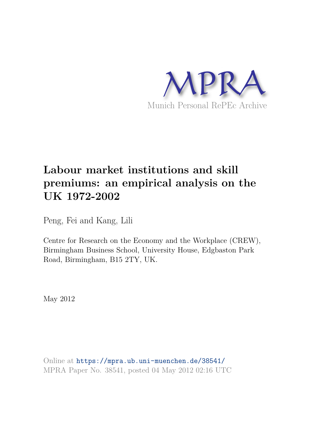

# **Labour market institutions and skill premiums: an empirical analysis on the UK 1972-2002**

Peng, Fei and Kang, Lili

Centre for Research on the Economy and the Workplace (CREW), Birmingham Business School, University House, Edgbaston Park Road, Birmingham, B15 2TY, UK.

May 2012

Online at https://mpra.ub.uni-muenchen.de/38541/ MPRA Paper No. 38541, posted 04 May 2012 02:16 UTC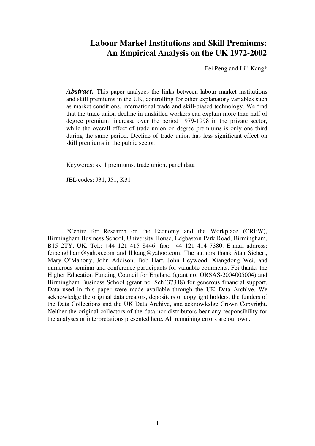# **Labour Market Institutions and Skill Premiums: An Empirical Analysis on the UK 1972-2002**

Fei Peng and Lili Kang\*

*Abstract.* This paper analyzes the links between labour market institutions and skill premiums in the UK, controlling for other explanatory variables such as market conditions, international trade and skill-biased technology. We find that the trade union decline in unskilled workers can explain more than half of degree premium' increase over the period 1979-1998 in the private sector, while the overall effect of trade union on degree premiums is only one third during the same period. Decline of trade union has less significant effect on skill premiums in the public sector.

Keywords: skill premiums, trade union, panel data

JEL codes: J31, J51, K31

\*Centre for Research on the Economy and the Workplace (CREW), Birmingham Business School, University House, Edgbaston Park Road, Birmingham, B15 2TY, UK. Tel.: +44 121 415 8446; fax: +44 121 414 7380. E-mail address: feipengbham@yahoo.com and ll.kang@yahoo.com. The authors thank Stan Siebert, Mary O'Mahony, John Addison, Bob Hart, John Heywood, Xiangdong Wei, and numerous seminar and conference participants for valuable comments. Fei thanks the Higher Education Funding Council for England (grant no. ORSAS-2004005004) and Birmingham Business School (grant no. Sch437348) for generous financial support. Data used in this paper were made available through the UK Data Archive. We acknowledge the original data creators, depositors or copyright holders, the funders of the Data Collections and the UK Data Archive, and acknowledge Crown Copyright. Neither the original collectors of the data nor distributors bear any responsibility for the analyses or interpretations presented here. All remaining errors are our own.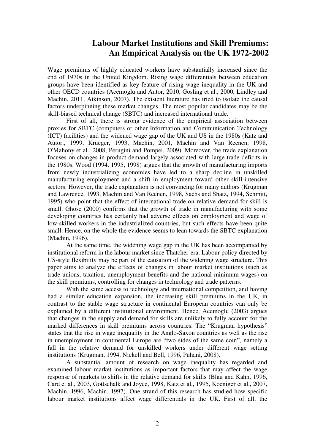# **Labour Market Institutions and Skill Premiums: An Empirical Analysis on the UK 1972-2002**

Wage premiums of highly educated workers have substantially increased since the end of 1970s in the United Kingdom. Rising wage differentials between education groups have been identified as key feature of rising wage inequality in the UK and other OECD countries (Acemoglu and Autor, 2010, Gosling et al., 2000, Lindley and Machin, 2011, Atkinson, 2007). The existent literature has tried to isolate the causal factors underpinning these market changes. The most popular candidates may be the skill-biased technical change (SBTC) and increased international trade.

First of all, there is strong evidence of the empirical association between proxies for SBTC (computers or other Information and Communication Technology (ICT) facilities) and the widened wage gap of the UK and US in the 1980s (Katz and Autor., 1999, Krueger, 1993, Machin, 2001, Machin and Van Reenen, 1998, O'Mahony et al., 2008, Perugini and Pompei, 2009). Moreover, the trade explanation focuses on changes in product demand largely associated with large trade deficits in the 1980s. Wood (1994, 1995, 1998) argues that the growth of manufacturing imports from newly industrializing economies have led to a sharp decline in unskilled manufacturing employment and a shift in employment toward other skill-intensive sectors. However, the trade explanation is not convincing for many authors (Krugman and Lawrence, 1993, Machin and Van Reenen, 1998, Sachs and Shatz, 1994, Schmitt, 1995) who point that the effect of international trade on relative demand for skill is small. Ghose (2000) confirms that the growth of trade in manufacturing with some developing countries has certainly had adverse effects on employment and wage of low-skilled workers in the industrialized countries, but such effects have been quite small. Hence, on the whole the evidence seems to lean towards the SBTC explanation (Machin, 1996).

At the same time, the widening wage gap in the UK has been accompanied by institutional reform in the labour market since Thatcher-era. Labour policy directed by US-style flexibility may be part of the causation of the widening wage structure. This paper aims to analyze the effects of changes in labour market institutions (such as trade unions, taxation, unemployment benefits and the national minimum wages) on the skill premiums, controlling for changes in technology and trade patterns.

With the same access to technology and international competition, and having had a similar education expansion, the increasing skill premiums in the UK, in contrast to the stable wage structure in continental European countries can only be explained by a different institutional environment. Hence, Acemoglu (2003) argues that changes in the supply and demand for skills are unlikely to fully account for the marked differences in skill premiums across countries. The "Krugman hypothesis" states that the rise in wage inequality in the Anglo-Saxon countries as well as the rise in unemployment in continental Europe are "two sides of the same coin", namely a fall in the relative demand for unskilled workers under different wage setting institutions (Krugman, 1994, Nickell and Bell, 1996, Puhani, 2008).

A substantial amount of research on wage inequality has regarded and examined labour market institutions as important factors that may affect the wage response of markets to shifts in the relative demand for skills (Blau and Kahn, 1996, Card et al., 2003, Gottschalk and Joyce, 1998, Katz et al., 1995, Koeniger et al., 2007, Machin, 1996, Machin, 1997). One strand of this research has studied how specific labour market institutions affect wage differentials in the UK. First of all, the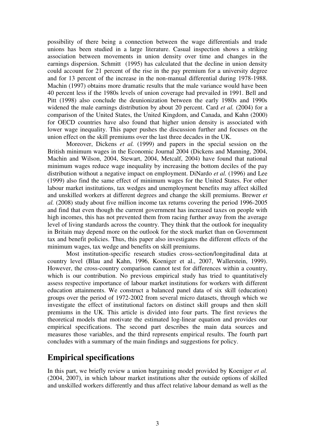possibility of there being a connection between the wage differentials and trade unions has been studied in a large literature. Casual inspection shows a striking association between movements in union density over time and changes in the earnings dispersion. Schmitt (1995) has calculated that the decline in union density could account for 21 percent of the rise in the pay premium for a university degree and for 13 percent of the increase in the non-manual differential during 1978-1988. Machin (1997) obtains more dramatic results that the male variance would have been 40 percent less if the 1980s levels of union coverage had prevailed in 1991. Bell and Pitt (1998) also conclude the deunionization between the early 1980s and 1990s widened the male earnings distribution by about 20 percent. Card *et al.* (2004) for a comparison of the United States, the United Kingdom, and Canada, and Kahn (2000) for OECD countries have also found that higher union density is associated with lower wage inequality. This paper pushes the discussion further and focuses on the union effect on the skill premiums over the last three decades in the UK.

Moreover, Dickens *et al.* (1999) and papers in the special session on the British minimum wages in the Economic Journal 2004 (Dickens and Manning, 2004, Machin and Wilson, 2004, Stewart, 2004, Metcalf, 2004) have found that national minimum wages reduce wage inequality by increasing the bottom deciles of the pay distribution without a negative impact on employment. DiNardo *et al.* (1996) and Lee (1999) also find the same effect of minimum wages for the United States. For other labour market institutions, tax wedges and unemployment benefits may affect skilled and unskilled workers at different degrees and change the skill premiums. Brewer *et al.* (2008) study about five million income tax returns covering the period 1996-2005 and find that even though the current government has increased taxes on people with high incomes, this has not prevented them from racing further away from the average level of living standards across the country. They think that the outlook for inequality in Britain may depend more on the outlook for the stock market than on Government tax and benefit policies. Thus, this paper also investigates the different effects of the minimum wages, tax wedge and benefits on skill premiums.

Most institution-specific research studies cross-section/longitudinal data at country level (Blau and Kahn, 1996, Koeniger et al., 2007, Wallerstein, 1999). However, the cross-country comparison cannot test for differences within a country, which is our contribution. No previous empirical study has tried to quantitatively assess respective importance of labour market institutions for workers with different education attainments. We construct a balanced panel data of six skill (education) groups over the period of 1972-2002 from several micro datasets, through which we investigate the effect of institutional factors on distinct skill groups and then skill premiums in the UK. This article is divided into four parts. The first reviews the theoretical models that motivate the estimated log-linear equation and provides our empirical specifications. The second part describes the main data sources and measures those variables, and the third represents empirical results. The fourth part concludes with a summary of the main findings and suggestions for policy.

### **Empirical specifications**

In this part, we briefly review a union bargaining model provided by Koeniger *et al.* (2004, 2007), in which labour market institutions alter the outside options of skilled and unskilled workers differently and thus affect relative labour demand as well as the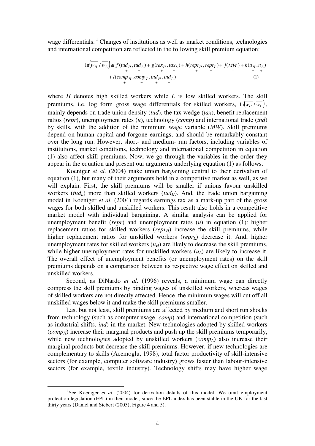wage differentials.<sup>1</sup> Changes of institutions as well as market conditions, technologies and international competition are reflected in the following skill premium equation:

$$
\ln(w_H / w_L) \cong f(tud_H, tud_L) + g(tax_H, tax_L) + h(repr_H, repr_L) + j(MW) + k(u_H, u_L) + l(comp_H, comp_L, ind_H, ind_L)
$$
\n(1)

where *H* denotes high skilled workers while *L* is low skilled workers. The skill premiums, i.e. log form gross wage differentials for skilled workers,  $\ln(w_H / w_L)$ , mainly depends on trade union density (*tud*), the tax wedge (*tax*), benefit replacement ratios (*repr*), unemployment rates (*u*), technology (*comp*) and international trade (*ind*) by skills, with the addition of the minimum wage variable (*MW*). Skill premiums depend on human capital and forgone earnings, and should be remarkably constant over the long run. However, short- and medium- run factors, including variables of institutions, market conditions, technology and international competition in equation (1) also affect skill premiums. Now, we go through the variables in the order they appear in the equation and present our arguments underlying equation (1) as follows.

Koeniger *et al.* (2004) make union bargaining central to their derivation of equation (1), but many of their arguments hold in a competitive market as well, as we will explain. First, the skill premiums will be smaller if unions favour unskilled workers (*tud*<sub>*L*</sub>) more than skilled workers (*tud*<sub>*H*</sub>). And, the trade union bargaining model in Koeniger *et al.* (2004) regards earnings tax as a mark-up part of the gross wages for both skilled and unskilled workers. This result also holds in a competitive market model with individual bargaining. A similar analysis can be applied for unemployment benefit (*repr*) and unemployment rates (*u*) in equation (1): higher replacement ratios for skilled workers  $(repr_H)$  increase the skill premiums, while higher replacement ratios for unskilled workers (*reprL*) decrease it. And, higher unemployment rates for skilled workers  $(u_H)$  are likely to decrease the skill premiums, while higher unemployment rates for unskilled workers  $(u<sub>L</sub>)$  are likely to increase it. The overall effect of unemployment benefits (or unemployment rates) on the skill premiums depends on a comparison between its respective wage effect on skilled and unskilled workers.

Second, as DiNardo *et al.* (1996) reveals, a minimum wage can directly compress the skill premiums by binding wages of unskilled workers, whereas wages of skilled workers are not directly affected. Hence, the minimum wages will cut off all unskilled wages below it and make the skill premiums smaller.

Last but not least, skill premiums are affected by medium and short run shocks from technology (such as computer usage, *comp*) and international competition (such as industrial shifts, *ind*) in the market. New technologies adopted by skilled workers  $(comp<sub>H</sub>)$  increase their marginal products and push up the skill premiums temporarily, while new technologies adopted by unskilled workers (*comp<sub>L</sub>*) also increase their marginal products but decrease the skill premiums. However, if new technologies are complementary to skills (Acemoglu, 1998), total factor productivity of skill-intensive sectors (for example, computer software industry) grows faster than labour-intensive sectors (for example, textile industry). Technology shifts may have higher wage

 $\overline{a}$ 

<sup>&</sup>lt;sup>1</sup> See Koeniger et al. (2004) for derivation details of this model. We omit employment protection legislation (EPL) in their model, since the EPL index has been stable in the UK for the last thirty years (Daniel and Siebert (2005), Figure 4 and 5).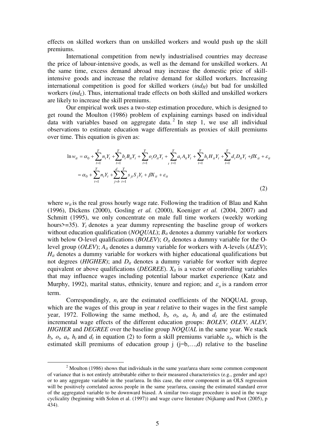effects on skilled workers than on unskilled workers and would push up the skill premiums.

International competition from newly industrialised countries may decrease the price of labour-intensive goods, as well as the demand for unskilled workers. At the same time, excess demand abroad may increase the domestic price of skillintensive goods and increase the relative demand for skilled workers. Increasing international competition is good for skilled workers  $(ind<sub>H</sub>)$  but bad for unskilled workers (*ind<sub>L</sub>*). Thus, international trade effects on both skilled and unskilled workers are likely to increase the skill premiums.

Our empirical work uses a two-step estimation procedure, which is designed to get round the Moulton (1986) problem of explaining earnings based on individual data with variables based on aggregate data.<sup>2</sup> In step 1, we use all individual observations to estimate education wage differentials as proxies of skill premiums over time. This equation is given as:

$$
\ln w_{it} = \alpha_0 + \sum_{t=1}^T n_t Y_t + \sum_{t=1}^T b_t B_{it} Y_t + \sum_{t=1}^T \sigma_t O_{it} Y_t + \sum_{t=1}^T a_t A_{it} Y_t + \sum_{t=1}^T h_t H_{it} Y_t + \sum_{t=1}^T d_t D_{it} Y_t + \beta X_{it} + \varepsilon_{it}
$$
  
=  $\alpha_0 + \sum_{t=1}^T n_t Y_t + \sum_{j=b}^T \sum_{t=1}^T s_{jt} S_j Y_t + \beta X_{it} + \varepsilon_{it}$  (2)

where  $w_{it}$  is the real gross hourly wage rate. Following the tradition of Blau and Kahn (1996), Dickens (2000), Gosling *et al.* (2000), Koeniger *et al.* (2004, 2007) and Schmitt (1995), we only concentrate on male full time workers (weekly working hours $\ge$ =35). *Y<sub>t</sub>* denotes a year dummy representing the baseline group of workers without education qualification (*NOQUAL*);  $B_{it}$  denotes a dummy variable for workers with below O-level qualifications (*BOLEV*);  $O_{it}$  denotes a dummy variable for the Olevel group (*OLEV*); *Ait* denotes a dummy variable for workers with A-levels (*ALEV*); *H*<sup>*it*</sup> denotes a dummy variable for workers with higher educational qualifications but not degrees ( $HIGHER$ ); and  $D<sub>it</sub>$  denotes a dummy variable for worker with degree equivalent or above qualifications (*DEGREE*). *Xit* is a vector of controlling variables that may influence wages including potential labour market experience (Katz and Murphy, 1992), marital status, ethnicity, tenure and region; and  $\varepsilon$ <sub>*i*</sub> is a random error term.

Correspondingly,  $n_t$  are the estimated coefficients of the NOQUAL group, which are the wages of this group in year *t* relative to their wages in the first sample year, 1972. Following the same method,  $b_t$ ,  $c_t$ ,  $a_t$ ,  $h_t$  and  $d_t$  are the estimated incremental wage effects of the different education groups: *BOLEV, OLEV, ALEV, HIGHER* and *DEGREE* over the baseline group *NOQUAL* in the same year. We stack  $b_t$ ,  $c_t$ ,  $a_t$ ,  $h_t$  and  $d_t$  in equation (2) to form a skill premiums variable  $s_{jt}$ , which is the estimated skill premiums of education group  $j$  ( $j=b$ ,...,d) relative to the baseline

 $\overline{a}$ 

 $2$  Moulton (1986) shows that individuals in the same year/area share some common component of variance that is not entirely attributable either to their measured characteristics (e.g., gender and age) or to any aggregate variable in the year/area. In this case, the error component in an OLS regression will be positively correlated across people in the same year/area, causing the estimated standard error of the aggregated variable to be downward biased. A similar two-stage procedure is used in the wage cyclicality (beginning with Solon et al. (1997)) and wage curve literature (Nijkamp and Poot (2005), p 434).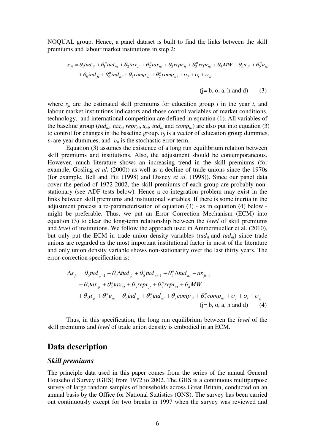NOQUAL group. Hence, a panel dataset is built to find the links between the skill premiums and labour market institutions in step 2:

$$
s_{jt} = \theta_1 t u d_{jt} + \theta_1^n t u d_{nt} + \theta_2 t a x_{jt} + \theta_2^n t a x_{nt} + \theta_3 \text{ repr}_{jt} + \theta_3^n \text{ repr}_{nt} + \theta_4 M W + \theta_5 u_{jt} + \theta_5^n u_{nt}
$$
  
+  $\theta_6 i n d_{jt} + \theta_6^n i n d_{nt} + \theta_7 \text{comp}_{jt} + \theta_7^n \text{comp}_{nt} + v_j + v_t + v_{jt}$ 

$$
(j=b, o, a, h \text{ and } d)
$$
 (3)

where  $s_{jt}$  are the estimated skill premiums for education group *j* in the year *t*, and labour market institutions indicators and those control variables of market conditions, technology, and international competition are defined in equation (1). All variables of the baseline group (*tud<sub>nt</sub>*, *tax<sub>nt</sub> repr<sub>nt</sub>*,  $u_{nt}$ *, ind<sub>nt</sub>* and *comp<sub>nt</sub>*) are also put into equation (3) to control for changes in the baseline group.  $v_j$  is a vector of education group dummies,  $v_t$  are year dummies, and  $v_{jt}$  is the stochastic error term.

Equation (3) assumes the existence of a long run equilibrium relation between skill premiums and institutions. Also, the adjustment should be contemporaneous. However, much literature shows an increasing trend in the skill premiums (for example, Gosling *et al.* (2000)) as well as a decline of trade unions since the 1970s (for example, Bell and Pitt (1998) and Disney *et al.* (1998)). Since our panel data cover the period of 1972-2002, the skill premiums of each group are probably nonstationary (see ADF tests below). Hence a co-integration problem may exist in the links between skill premiums and institutional variables. If there is some inertia in the adjustment process a re-parameterisation of equation (3) - as in equation (4) below might be preferable. Thus, we put an Error Correction Mechanism (ECM) into equation (3) to clear the long-term relationship between the *level* of skill premiums and *level* of institutions. We follow the approach used in Ammermueller et al. (2010), but only put the ECM in trade union density variables ( $t u d_{it}$  and  $t u d_{nt}$ ) since trade unions are regarded as the most important institutional factor in most of the literature and only union density variable shows non-stationarity over the last thirty years. The error-correction specification is:

$$
\Delta s_{ji} = \theta_0 t u d_{ji-1} + \theta_1 \Delta t u d_{ji} + \theta_0^n t u d_{ni-1} + \theta_1^n \Delta t u d_{ni} - a s_{ji-1} + \theta_2 t a x_{ji} + \theta_2^n t a x_{ni} + \theta_3 \text{ repr}_{ji} + \theta_3^n \text{ repr}_{ni} + \theta_4 M W + \theta_5 u_{ji} + \theta_5^n u_{ni} + \theta_6 i n d_{ji} + \theta_6^n i n d_{ni} + \theta_7 \text{comp}_{ji} + \theta_7^n \text{comp}_{ni} + v_j + v_t + v_{ji} (j = b, o, a, h and d)
$$
 (4)

Thus, in this specification, the long run equilibrium between the *level* of the skill premiums and *level* of trade union density is embodied in an ECM.

### **Data description**

#### *Skill premiums*

The principle data used in this paper comes from the series of the annual General Household Survey (GHS) from 1972 to 2002. The GHS is a continuous multipurpose survey of large random samples of households across Great Britain, conducted on an annual basis by the Office for National Statistics (ONS). The survey has been carried out continuously except for two breaks in 1997 when the survey was reviewed and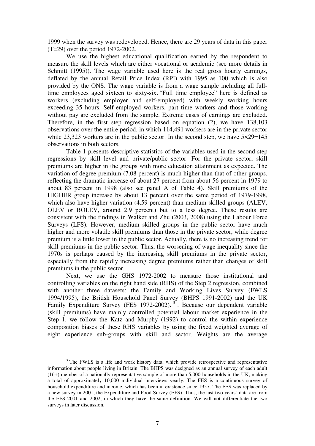1999 when the survey was redeveloped. Hence, there are 29 years of data in this paper (T=29) over the period 1972-2002.

We use the highest educational qualification earned by the respondent to measure the skill levels which are either vocational or academic (see more details in Schmitt (1995)). The wage variable used here is the real gross hourly earnings, deflated by the annual Retail Price Index (RPI) with 1995 as 100 which is also provided by the ONS. The wage variable is from a wage sample including all fulltime employees aged sixteen to sixty-six. "Full time employee" here is defined as workers (excluding employer and self-employed) with weekly working hours exceeding 35 hours. Self-employed workers, part time workers and those working without pay are excluded from the sample. Extreme cases of earnings are excluded. Therefore, in the first step regression based on equation (2), we have 138,103 observations over the entire period, in which 114,491 workers are in the private sector while 23,323 workers are in the public sector. In the second step, we have  $5\times29=145$ observations in both sectors.

Table 1 presents descriptive statistics of the variables used in the second step regressions by skill level and private/public sector. For the private sector, skill premiums are higher in the groups with more education attainment as expected. The variation of degree premium (7.08 percent) is much higher than that of other groups, reflecting the dramatic increase of about 27 percent from about 56 percent in 1979 to about 83 percent in 1998 (also see panel A of Table 4). Skill premiums of the HIGHER group increase by about 13 percent over the same period of 1979-1998, which also have higher variation (4.59 percent) than medium skilled groups (ALEV, OLEV or BOLEV, around 2.9 percent) but to a less degree. These results are consistent with the findings in Walker and Zhu (2003, 2008) using the Labour Force Surveys (LFS). However, medium skilled groups in the public sector have much higher and more volatile skill premiums than those in the private sector, while degree premium is a little lower in the public sector. Actually, there is no increasing trend for skill premiums in the public sector. Thus, the worsening of wage inequality since the 1970s is perhaps caused by the increasing skill premiums in the private sector, especially from the rapidly increasing degree premiums rather than changes of skill premiums in the public sector.

Next, we use the GHS 1972-2002 to measure those institutional and controlling variables on the right hand side (RHS) of the Step 2 regression, combined with another three datasets: the Family and Working Lives Survey (FWLS 1994/1995), the British Household Panel Survey (BHPS 1991-2002) and the UK Family Expenditure Survey (FES 1972-2002).<sup>3</sup>. Because our dependent variable (skill premiums) have mainly controlled potential labour market experience in the Step 1, we follow the Katz and Murphy (1992) to control the within experience composition biases of these RHS variables by using the fixed weighted average of eight experience sub-groups with skill and sector. Weights are the average

 $\overline{a}$ 

<sup>&</sup>lt;sup>3</sup> The FWLS is a life and work history data, which provide retrospective and representative information about people living in Britain. The BHPS was designed as an annual survey of each adult (16+) member of a nationally representative sample of more than 5,000 households in the UK, making a total of approximately 10,000 individual interviews yearly. The FES is a continuous survey of household expenditure and income, which has been in existence since 1957. The FES was replaced by a new survey in 2001, the Expenditure and Food Survey (EFS). Thus, the last two years' data are from the EFS 2001 and 2002, in which they have the same definition. We will not differentiate the two surveys in later discussion.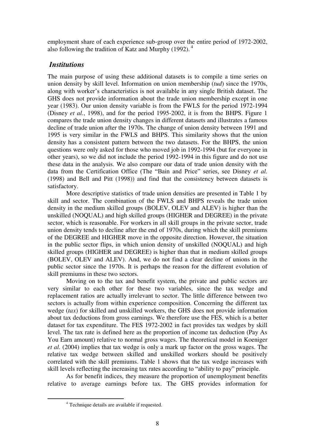employment share of each experience sub-group over the entire period of 1972-2002, also following the tradition of Katz and Murphy (1992). $<sup>4</sup>$ </sup>

### *Institutions*

The main purpose of using these additional datasets is to compile a time series on union density by skill level. Information on union membership (*tud*) since the 1970s, along with worker's characteristics is not available in any single British dataset. The GHS does not provide information about the trade union membership except in one year (1983). Our union density variable is from the FWLS for the period 1972-1994 (Disney *et al.*, 1998), and for the period 1995-2002, it is from the BHPS. Figure 1 compares the trade union density changes in different datasets and illustrates a famous decline of trade union after the 1970s. The change of union density between 1991 and 1995 is very similar in the FWLS and BHPS. This similarity shows that the union density has a consistent pattern between the two datasets. For the BHPS, the union questions were only asked for those who moved job in 1992-1994 (but for everyone in other years), so we did not include the period 1992-1994 in this figure and do not use these data in the analysis. We also compare our data of trade union density with the data from the Certification Office (The "Bain and Price" series, see Disney *et al.* (1998) and Bell and Pitt (1998)) and find that the consistency between datasets is satisfactory.

More descriptive statistics of trade union densities are presented in Table 1 by skill and sector. The combination of the FWLS and BHPS reveals the trade union density in the medium skilled groups (BOLEV, OLEV and ALEV) is higher than the unskilled (NOQUAL) and high skilled groups (HIGHER and DEGREE) in the private sector, which is reasonable. For workers in all skill groups in the private sector, trade union density tends to decline after the end of 1970s, during which the skill premiums of the DEGREE and HIGHER move in the opposite direction. However, the situation in the public sector flips, in which union density of unskilled (NOQUAL) and high skilled groups (HIGHER and DEGREE) is higher than that in medium skilled groups (BOLEV, OLEV and ALEV). And, we do not find a clear decline of unions in the public sector since the 1970s. It is perhaps the reason for the different evolution of skill premiums in these two sectors.

Moving on to the tax and benefit system, the private and public sectors are very similar to each other for these two variables, since the tax wedge and replacement ratios are actually irrelevant to sector. The little difference between two sectors is actually from within experience composition. Concerning the different tax wedge (*tax*) for skilled and unskilled workers, the GHS does not provide information about tax deductions from gross earnings. We therefore use the FES, which is a better dataset for tax expenditure. The FES 1972-2002 in fact provides tax wedges by skill level. The tax rate is defined here as the proportion of income tax deduction (Pay As You Earn amount) relative to normal gross wages. The theoretical model in Koeniger *et al.* (2004) implies that tax wedge is only a mark up factor on the gross wages. The relative tax wedge between skilled and unskilled workers should be positively correlated with the skill premiums. Table 1 shows that the tax wedge increases with skill levels reflecting the increasing tax rates according to "ability to pay" principle.

As for benefit indices, they measure the proportion of unemployment benefits relative to average earnings before tax. The GHS provides information for

 $\overline{a}$ 

<sup>&</sup>lt;sup>4</sup> Technique details are available if requested.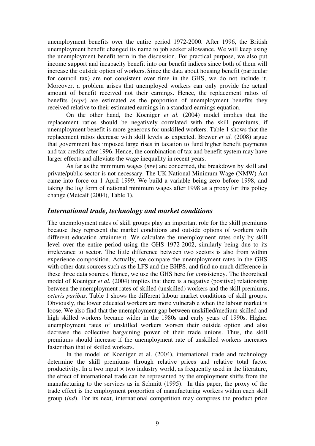unemployment benefits over the entire period 1972-2000. After 1996, the British unemployment benefit changed its name to job seeker allowance. We will keep using the unemployment benefit term in the discussion. For practical purpose, we also put income support and incapacity benefit into our benefit indices since both of them will increase the outside option of workers. Since the data about housing benefit (particular for council tax) are not consistent over time in the GHS, we do not include it. Moreover, a problem arises that unemployed workers can only provide the actual amount of benefit received not their earnings. Hence, the replacement ratios of benefits (*repr*) are estimated as the proportion of unemployment benefits they received relative to their estimated earnings in a standard earnings equation.

On the other hand, the Koeniger *et al.* (2004) model implies that the replacement ratios should be negatively correlated with the skill premiums, if unemployment benefit is more generous for unskilled workers. Table 1 shows that the replacement ratios decrease with skill levels as expected. Brewer *et al.* (2008) argue that government has imposed large rises in taxation to fund higher benefit payments and tax credits after 1996. Hence, the combination of tax and benefit system may have larger effects and alleviate the wage inequality in recent years.

As far as the minimum wages (*mw*) are concerned, the breakdown by skill and private/public sector is not necessary. The UK National Minimum Wage (NMW) Act came into force on 1 April 1999. We build a variable being zero before 1998, and taking the log form of national minimum wages after 1998 as a proxy for this policy change (Metcalf (2004), Table 1).

#### *International trade, technology and market conditions*

The unemployment rates of skill groups play an important role for the skill premiums because they represent the market conditions and outside options of workers with different education attainment. We calculate the unemployment rates only by skill level over the entire period using the GHS 1972-2002, similarly being due to its irrelevance to sector. The little difference between two sectors is also from within experience composition. Actually, we compare the unemployment rates in the GHS with other data sources such as the LFS and the BHPS, and find no much difference in these three data sources. Hence, we use the GHS here for consistency. The theoretical model of Koeniger *et al.* (2004) implies that there is a negative (positive) relationship between the unemployment rates of skilled (unskilled) workers and the skill premiums, *ceteris paribus*. Table 1 shows the different labour market conditions of skill groups. Obviously, the lower educated workers are more vulnerable when the labour market is loose. We also find that the unemployment gap between unskilled/medium-skilled and high skilled workers became wider in the 1980s and early years of 1990s. Higher unemployment rates of unskilled workers worsen their outside option and also decrease the collective bargaining power of their trade unions. Thus, the skill premiums should increase if the unemployment rate of unskilled workers increases faster than that of skilled workers.

In the model of Koeniger et al. (2004), international trade and technology determine the skill premiums through relative prices and relative total factor productivity. In a two input  $\times$  two industry world, as frequently used in the literature, the effect of international trade can be represented by the employment shifts from the manufacturing to the services as in Schmitt (1995). In this paper, the proxy of the trade effect is the employment proportion of manufacturing workers within each skill group (*ind*). For its next, international competition may compress the product price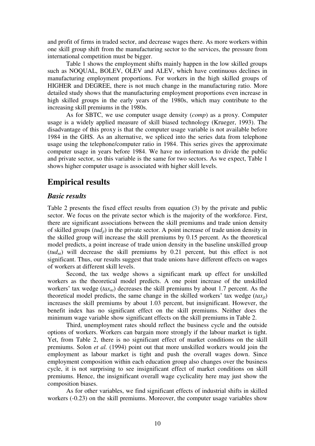and profit of firms in traded sector, and decrease wages there. As more workers within one skill group shift from the manufacturing sector to the services, the pressure from international competition must be bigger.

Table 1 shows the employment shifts mainly happen in the low skilled groups such as NOQUAL, BOLEV, OLEV and ALEV, which have continuous declines in manufacturing employment proportions. For workers in the high skilled groups of HIGHER and DEGREE, there is not much change in the manufacturing ratio. More detailed study shows that the manufacturing employment proportions even increase in high skilled groups in the early years of the 1980s, which may contribute to the increasing skill premiums in the 1980s.

As for SBTC, we use computer usage density (*comp*) as a proxy. Computer usage is a widely applied measure of skill biased technology (Krueger, 1993). The disadvantage of this proxy is that the computer usage variable is not available before 1984 in the GHS. As an alternative, we spliced into the series data from telephone usage using the telephone/computer ratio in 1984. This series gives the approximate computer usage in years before 1984. We have no information to divide the public and private sector, so this variable is the same for two sectors. As we expect, Table 1 shows higher computer usage is associated with higher skill levels.

# **Empirical results**

### *Basic results*

Table 2 presents the fixed effect results from equation (3) by the private and public sector. We focus on the private sector which is the majority of the workforce. First, there are significant associations between the skill premiums and trade union density of skilled groups (*tudjt*) in the private sector. A point increase of trade union density in the skilled group will increase the skill premiums by 0.15 percent. As the theoretical model predicts, a point increase of trade union density in the baseline unskilled group  $(tud<sub>nt</sub>)$  will decrease the skill premiums by 0.21 percent, but this effect is not significant. Thus, our results suggest that trade unions have different effects on wages of workers at different skill levels.

Second, the tax wedge shows a significant mark up effect for unskilled workers as the theoretical model predicts. A one point increase of the unskilled workers' tax wedge  $(tax_{nt})$  decreases the skill premiums by about 1.7 percent. As the theoretical model predicts, the same change in the skilled workers' tax wedge  $(tax_{it})$ increases the skill premiums by about 1.03 percent, but insignificant. However, the benefit index has no significant effect on the skill premiums. Neither does the minimum wage variable show significant effects on the skill premiums in Table 2.

Third, unemployment rates should reflect the business cycle and the outside options of workers. Workers can bargain more strongly if the labour market is tight. Yet, from Table 2, there is no significant effect of market conditions on the skill premiums. Solon *et al.* (1994) point out that more unskilled workers would join the employment as labour market is tight and push the overall wages down. Since employment composition within each education group also changes over the business cycle, it is not surprising to see insignificant effect of market conditions on skill premiums. Hence, the insignificant overall wage cyclicality here may just show the composition biases.

As for other variables, we find significant effects of industrial shifts in skilled workers (-0.23) on the skill premiums. Moreover, the computer usage variables show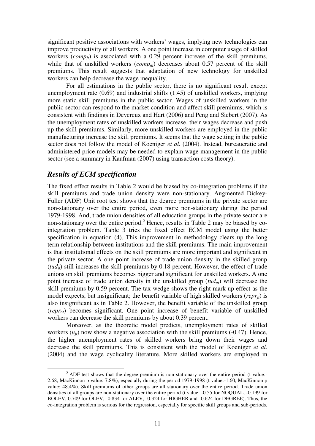significant positive associations with workers' wages, implying new technologies can improve productivity of all workers. A one point increase in computer usage of skilled workers  $(comp<sub>it</sub>)$  is associated with a 0.29 percent increase of the skill premiums, while that of unskilled workers (*comp<sub>nt</sub>*) decreases about 0.57 percent of the skill premiums. This result suggests that adaptation of new technology for unskilled workers can help decrease the wage inequality.

For all estimations in the public sector, there is no significant result except unemployment rate (0.69) and industrial shifts (1.45) of unskilled workers, implying more static skill premiums in the public sector. Wages of unskilled workers in the public sector can respond to the market condition and affect skill premiums, which is consistent with findings in Devereux and Hart (2006) and Peng and Siebert (2007). As the unemployment rates of unskilled workers increase, their wages decrease and push up the skill premiums. Similarly, more unskilled workers are employed in the public manufacturing increase the skill premiums. It seems that the wage setting in the public sector does not follow the model of Koeniger *et al.* (2004). Instead, bureaucratic and administered price models may be needed to explain wage management in the public sector (see a summary in Kaufman (2007) using transaction costs theory).

### *Results of ECM specification*

 $\overline{a}$ 

The fixed effect results in Table 2 would be biased by co-integration problems if the skill premiums and trade union density were non-stationary. Augmented Dickey-Fuller (ADF) Unit root test shows that the degree premiums in the private sector are non-stationary over the entire period, even more non-stationary during the period 1979-1998. And, trade union densities of all education groups in the private sector are non-stationary over the entire period.<sup>5</sup> Hence, results in Table 2 may be biased by cointegration problem. Table 3 tries the fixed effect ECM model using the better specification in equation (4). This improvement in methodology clears up the long term relationship between institutions and the skill premiums. The main improvement is that institutional effects on the skill premiums are more important and significant in the private sector. A one point increase of trade union density in the skilled group  $(tud_{it})$  still increases the skill premiums by 0.18 percent. However, the effect of trade unions on skill premiums becomes bigger and significant for unskilled workers. A one point increase of trade union density in the unskilled group (*tudnt*) will decrease the skill premiums by 0.59 percent. The tax wedge shows the right mark up effect as the model expects, but insignificant; the benefit variable of high skilled workers (*repr<sub>it</sub>*) is also insignificant as in Table 2. However, the benefit variable of the unskilled group (*reprnt*) becomes significant. One point increase of benefit variable of unskilled workers can decrease the skill premiums by about 0.39 percent.

Moreover, as the theoretic model predicts, unemployment rates of skilled workers  $(u_{it})$  now show a negative association with the skill premiums  $(-0.47)$ . Hence, the higher unemployment rates of skilled workers bring down their wages and decrease the skill premiums. This is consistent with the model of Koeniger *et al.* (2004) and the wage cyclicality literature. More skilled workers are employed in

 $<sup>5</sup>$  ADF test shows that the degree premium is non-stationary over the entire period (t value:-</sup> 2.68, MacKinnon p value: 7.8%), especially during the period 1979-1998 (t value:-1.60, MacKinnon p value: 48.4%). Skill premiums of other groups are all stationary over the entire period. Trade union densities of all groups are non-stationary over the entire period (t value: -0.55 for NOQUAL, -0.199 for BOLEV, 0.709 for OLEV, -0.834 for ALEV, -0.324 for HIGHER and -0.624 for DEGREE). Thus, the co-integration problem is serious for the regression, especially for specific skill groups and sub-periods.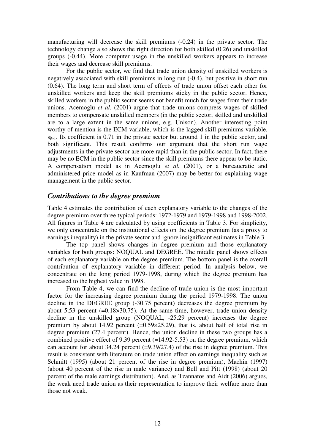manufacturing will decrease the skill premiums (-0.24) in the private sector. The technology change also shows the right direction for both skilled (0.26) and unskilled groups (-0.44). More computer usage in the unskilled workers appears to increase their wages and decrease skill premiums.

For the public sector, we find that trade union density of unskilled workers is negatively associated with skill premiums in long run (-0.4), but positive in short run (0.64). The long term and short term of effects of trade union offset each other for unskilled workers and keep the skill premiums sticky in the public sector. Hence, skilled workers in the public sector seems not benefit much for wages from their trade unions. Acemoglu *et al.* (2001) argue that trade unions compress wages of skilled members to compensate unskilled members (in the public sector, skilled and unskilled are to a large extent in the same unions, e.g. Unison). Another interesting point worthy of mention is the ECM variable, which is the lagged skill premiums variable,  $S_{it-1}$ . Its coefficient is 0.71 in the private sector but around 1 in the public sector, and both significant. This result confirms our argument that the short run wage adjustments in the private sector are more rapid than in the public sector. In fact, there may be no ECM in the public sector since the skill premiums there appear to be static. A compensation model as in Acemoglu *et al.* (2001), or a bureaucratic and administered price model as in Kaufman (2007) may be better for explaining wage management in the public sector.

### *Contributions to the degree premium*

Table 4 estimates the contribution of each explanatory variable to the changes of the degree premium over three typical periods: 1972-1979 and 1979-1998 and 1998-2002. All figures in Table 4 are calculated by using coefficients in Table 3. For simplicity, we only concentrate on the institutional effects on the degree premium (as a proxy to earnings inequality) in the private sector and ignore insignificant estimates in Table 3

The top panel shows changes in degree premium and those explanatory variables for both groups: NOQUAL and DEGREE. The middle panel shows effects of each explanatory variable on the degree premium. The bottom panel is the overall contribution of explanatory variable in different period. In analysis below, we concentrate on the long period 1979-1998, during which the degree premium has increased to the highest value in 1998.

From Table 4, we can find the decline of trade union is the most important factor for the increasing degree premium during the period 1979-1998. The union decline in the DEGREE group (-30.75 percent) decreases the degree premium by about 5.53 percent  $(=0.18\times30.75)$ . At the same time, however, trade union density decline in the unskilled group (NOQUAL, -25.29 percent) increases the degree premium by about 14.92 percent  $(=0.59 \times 25.29)$ , that is, about half of total rise in degree premium (27.4 percent). Hence, the union decline in these two groups has a combined positive effect of 9.39 percent  $(=14.92-5.53)$  on the degree premium, which can account for about  $34.24$  percent (=9.39/27.4) of the rise in degree premium. This result is consistent with literature on trade union effect on earnings inequality such as Schmitt (1995) (about 21 percent of the rise in degree premium), Machin (1997) (about 40 percent of the rise in male variance) and Bell and Pitt (1998) (about 20 percent of the male earnings distribution). And, as Tzannatos and Aidt (2006) argues, the weak need trade union as their representation to improve their welfare more than those not weak.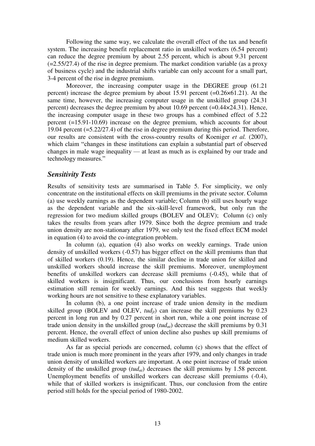Following the same way, we calculate the overall effect of the tax and benefit system. The increasing benefit replacement ratio in unskilled workers (6.54 percent) can reduce the degree premium by about 2.55 percent, which is about 9.31 percent (=2.55/27.4) of the rise in degree premium. The market condition variable (as a proxy of business cycle) and the industrial shifts variable can only account for a small part, 3-4 percent of the rise in degree premium.

Moreover, the increasing computer usage in the DEGREE group (61.21 percent) increase the degree premium by about  $15.91$  percent  $(=0.26\times61.21)$ . At the same time, however, the increasing computer usage in the unskilled group (24.31 percent) decreases the degree premium by about 10.69 percent (=0.44×24.31). Hence, the increasing computer usage in these two groups has a combined effect of 5.22 percent (=15.91-10.69) increase on the degree premium, which accounts for about 19.04 percent (=5.22/27.4) of the rise in degree premium during this period. Therefore, our results are consistent with the cross-country results of Koeniger *et al.* (2007), which claim "changes in these institutions can explain a substantial part of observed changes in male wage inequality — at least as much as is explained by our trade and technology measures."

### *Sensitivity Tests*

Results of sensitivity tests are summarised in Table 5. For simplicity, we only concentrate on the institutional effects on skill premiums in the private sector. Column (a) use weekly earnings as the dependent variable; Column (b) still uses hourly wage as the dependent variable and the six-skill-level framework, but only run the regression for two medium skilled groups (BOLEV and OLEV); Column (c) only takes the results from years after 1979. Since both the degree premium and trade union density are non-stationary after 1979, we only test the fixed effect ECM model in equation (4) to avoid the co-integration problem.

In column (a), equation (4) also works on weekly earnings. Trade union density of unskilled workers (-0.57) has bigger effect on the skill premiums than that of skilled workers (0.19). Hence, the similar decline in trade union for skilled and unskilled workers should increase the skill premiums. Moreover, unemployment benefits of unskilled workers can decrease skill premiums (-0.45), while that of skilled workers is insignificant. Thus, our conclusions from hourly earnings estimation still remain for weekly earnings. And this test suggests that weekly working hours are not sensitive to these explanatory variables.

In column (b), a one point increase of trade union density in the medium skilled group (BOLEV and OLEV,  $tud_{it}$ ) can increase the skill premiums by 0.23 percent in long run and by 0.27 percent in short run, while a one point increase of trade union density in the unskilled group (*tudnt*) decrease the skill premiums by 0.31 percent. Hence, the overall effect of union decline also pushes up skill premiums of medium skilled workers.

As far as special periods are concerned, column (c) shows that the effect of trade union is much more prominent in the years after 1979, and only changes in trade union density of unskilled workers are important. A one point increase of trade union density of the unskilled group (*tudnt*) decreases the skill premiums by 1.58 percent. Unemployment benefits of unskilled workers can decrease skill premiums (-0.4), while that of skilled workers is insignificant. Thus, our conclusion from the entire period still holds for the special period of 1980-2002.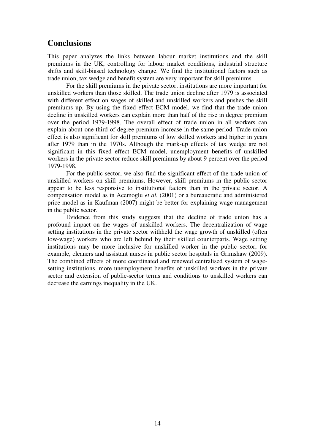## **Conclusions**

This paper analyzes the links between labour market institutions and the skill premiums in the UK, controlling for labour market conditions, industrial structure shifts and skill-biased technology change. We find the institutional factors such as trade union, tax wedge and benefit system are very important for skill premiums.

For the skill premiums in the private sector, institutions are more important for unskilled workers than those skilled. The trade union decline after 1979 is associated with different effect on wages of skilled and unskilled workers and pushes the skill premiums up. By using the fixed effect ECM model, we find that the trade union decline in unskilled workers can explain more than half of the rise in degree premium over the period 1979-1998. The overall effect of trade union in all workers can explain about one-third of degree premium increase in the same period. Trade union effect is also significant for skill premiums of low skilled workers and higher in years after 1979 than in the 1970s. Although the mark-up effects of tax wedge are not significant in this fixed effect ECM model, unemployment benefits of unskilled workers in the private sector reduce skill premiums by about 9 percent over the period 1979-1998.

For the public sector, we also find the significant effect of the trade union of unskilled workers on skill premiums. However, skill premiums in the public sector appear to be less responsive to institutional factors than in the private sector. A compensation model as in Acemoglu *et al.* (2001) or a bureaucratic and administered price model as in Kaufman (2007) might be better for explaining wage management in the public sector.

Evidence from this study suggests that the decline of trade union has a profound impact on the wages of unskilled workers. The decentralization of wage setting institutions in the private sector withheld the wage growth of unskilled (often low-wage) workers who are left behind by their skilled counterparts. Wage setting institutions may be more inclusive for unskilled worker in the public sector, for example, cleaners and assistant nurses in public sector hospitals in Grimshaw (2009). The combined effects of more coordinated and renewed centralised system of wagesetting institutions, more unemployment benefits of unskilled workers in the private sector and extension of public-sector terms and conditions to unskilled workers can decrease the earnings inequality in the UK.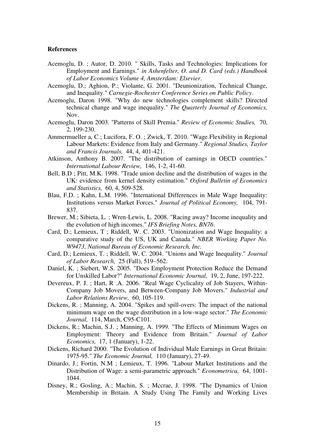#### **References**

- Acemoglu, D. ; Autor, D. 2010. " Skills, Tasks and Technologies: Implications for Employment and Earnings." *in Ashenfelter, O. and D. Card (eds.) Handbook of Labor Economics Volume 4, Amsterdam: Elsevier*.
- Acemoglu, D.; Aghion, P.; Violante, G. 2001. "Deunionization, Technical Change, and Inequality." *Carnegie-Rochester Conference Series on Public Policy*.
- Acemoglu, Daron 1998. "Why do new technologies complement skills? Directed technical change and wage inequality." *The Quarterly Journal of Economics,* Nov.
- Acemoglu, Daron 2003. "Patterns of Skill Premia." *Review of Economic Studies,* 70, 2, 199-230.
- Ammermueller a, C.; Lucifora, F. O. ; Zwick, T. 2010. "Wage Flexibility in Regional Labour Markets: Evidence from Italy and Germany." *Regional Studies, Taylor and Francis Journals,* 44, 4, 401-421.
- Atkinson, Anthony B. 2007. "The distribution of earnings in OECD countries." *International Labour Review,* 146, 1-2, 41-60.
- Bell, B.D ; Pitt, M.K. 1998. "Trade union decline and the distribution of wages in the UK: evidence from kernel density estimation." *Oxford Bulletin of Economics and Statistics,* 60, 4, 509-528.
- Blau, F.D. ; Kahn, L.M. 1996. "International Differences in Male Wage Inequality: Institutions versus Market Forces." *Journal of Political Economy,* 104, 791- 837.
- Brewer, M.; Sibieta, L. ; Wren-Lewis, L. 2008. "Racing away? Income inequality and the evolution of high incomes." *IFS Briefing Notes, BN76*.
- Card, D.; Lemieux, T ; Riddell, W. C. 2003. "Unionization and Wage Inequality: a comparative study of the US, UK and Canada." *NBER Working Paper No. W9473, National Bureau of Economic Research, Inc.*
- Card, D.; Lemieux, T. ; Riddell, W. C. 2004. "Unions and Wage Inequality." *Journal of Labor Research,* 25 (Fall), 519–562.
- Daniel, K. ; Siebert, W.S. 2005. "Does Employment Protection Reduce the Demand for Unskilled Labor?" *International Economic Journal,* 19, 2, June, 197-222.
- Devereux, P. J. ; Hart, R .A. 2006. "Real Wage Cyclicality of Job Stayers, Within-Company Job Movers, and Between-Company Job Movers." *Industrial and Labor Relations Review,* 60, 105-119.
- Dickens, R. ; Manning, A. 2004. "Spikes and spill-overs: The impact of the national minimum wage on the wage distribution in a low-wage sector." *The Economic Journal,* 114, March, C95-C101.
- Dickens, R.; Machin, S.J. ; Manning, A. 1999. "The Effects of Minimum Wages on Employment: Theory and Evidence from Britain." *Journal of Labor Economics,* 17, 1 (January), 1-22.
- Dickens, Richard 2000. "The Evolution of Individual Male Earnings in Great Britain: 1975-95." *The Economic Journal,* 110 (January), 27-49.
- Dinardo, J.; Fortin, N.M ; Lemieux, T. 1996. "Labour Market Institutions and the Distribution of Wage: a semi-parametric approach." *Econometrica,* 64, 1001- 1044.
- Disney, R.; Gosling, A.; Machin, S. ; Mccrae, J. 1998. "The Dynamics of Union Membership in Britain. A Study Using The Family and Working Lives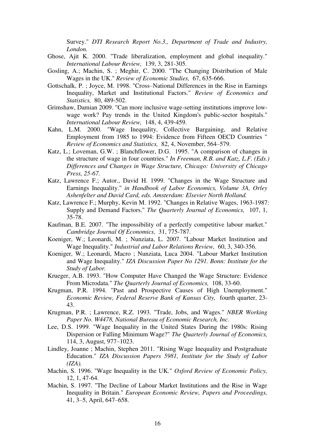Survey." *DTI Research Report No.3., Department of Trade and Industry, London.* 

- Ghose, Ajit K. 2000. "Trade liberalization, employment and global inequality." *International Labour Review,* 139, 3, 281-305.
- Gosling, A.; Machin, S. ; Meghir, C. 2000. "The Changing Distribution of Male Wages in the UK." *Review of Economic Studies,* 67, 635-666.
- Gottschalk, P. ; Joyce, M. 1998. "Cross–National Differences in the Rise in Earnings Inequality, Market and Institutional Factors." *Review of Economics and Statistics,* 80, 489-502.
- Grimshaw, Damian 2009. "Can more inclusive wage-setting institutions improve lowwage work? Pay trends in the United Kingdom's public-sector hospitals." *International Labour Review,* 148, 4, 439-459.
- Kahn, L.M. 2000. "Wage Inequality, Collective Bargaining, and Relative Employment from 1985 to 1994: Evidence from Fifteen OECD Countries " *Review of Economics and Statistics,* 82, 4, November, 564–579.
- Katz, L.; Loveman, G.W. ; Blanchflower, D.G. 1995. "A comparison of changes in the structure of wage in four countries." *In Freeman, R.B. and Katz, L.F. (Eds.) Differences and Changes in Wage Structure, Chicago: University of Chicago Press, 25-67.*
- Katz, Lawrence F.; Autor., David H. 1999. "Changes in the Wage Structure and Earnings Inequality." *in Handbook of Labor Economics, Volume 3A, Orley Ashenfelter and David Card, eds. Amsterdam: Elsevier North Holland.*
- Katz, Lawrence F.; Murphy, Kevin M. 1992. "Changes in Relative Wages, 1963-1987: Supply and Demand Factors." *The Quarterly Journal of Economics,* 107, 1, 35-78.
- Kaufman, B.E. 2007. "The impossibility of a perfectly competitive labour market." *Cambridge Journal Of Economics,* 31, 775-787.
- Koeniger, W.; Leonardi, M. ; Nunziata, L. 2007. "Labour Market Institution and Wage Inequality." *Industrial and Labor Relations Review,* 60, 3, 340-356.
- Koeniger, W.; Leonardi, Macro ; Nunziata, Luca 2004. "Labour Market Institution and Wage Inequality." *IZA Discussion Paper No 1291. Bonn: Institute for the Study of Labor.*
- Krueger, A.B. 1993. "How Computer Have Changed the Wage Structure: Evidence From Microdata." *The Quarterly Journal of Economics,* 108, 33-60.
- Krugman, P.R. 1994. "Past and Prospective Causes of High Unemployment." *Economic Review, Federal Reserve Bank of Kansas City,* fourth quarter, 23- 43.
- Krugman, P.R. ; Lawrence, R.Z. 1993. "Trade, Jobs, and Wages." *NBER Working Paper No. W4478, National Bureau of Economic Research, Inc*.
- Lee, D.S. 1999. "Wage Inequality in the United States During the 1980s: Rising Dispersion or Falling Minimum Wage?" *The Quarterly Journal of Economics,* 114, 3, August, 977–1023.
- Lindley, Joanne ; Machin, Stephen 2011. "Rising Wage Inequality and Postgraduate Education." *IZA Discussion Papers 5981, Institute for the Study of Labor (IZA).*
- Machin, S. 1996. "Wage Inequality in the UK." *Oxford Review of Economic Policy,* 12, 1, 47-64.
- Machin, S. 1997. "The Decline of Labour Market Institutions and the Rise in Wage Inequality in Britain." *European Economic Review, Papers and Proceedings,* 41, 3–5, April, 647–658.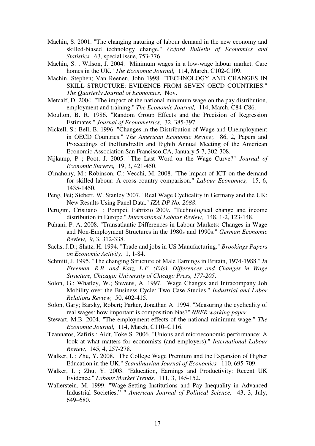- Machin, S. 2001. "The changing naturing of labour demand in the new economy and skilled-biased technology change." *Oxford Bulletin of Economics and Statistics,* 63, special issue, 753-776.
- Machin, S. ; Wilson, J. 2004. "Minimum wages in a low-wage labour market: Care homes in the UK." *The Economic Journal,* 114, March, C102-C109.
- Machin, Stephen; Van Reenen, John 1998. "TECHNOLOGY AND CHANGES IN SKILL STRUCTURE: EVIDENCE FROM SEVEN OECD COUNTRIES." *The Quarterly Journal of Economics,* Nov.
- Metcalf, D. 2004. "The impact of the national minimum wage on the pay distribution, employment and training." *The Economic Journal,* 114, March, C84-C86.
- Moulton, B. R. 1986. "Random Group Effects and the Precision of Regression Estimates." *Journal of Econometrics,* 32, 385-397.
- Nickell, S.; Bell, B. 1996. "Changes in the Distribution of Wage and Unemployment in OECD Countries." *The American Economic Review,* 86, 2, Papers and Proceedings of theHundredth and Eighth Annual Meeting of the American Economic Association San Francisco,CA, January 5-7, 302-308.
- Nijkamp, P ; Poot, J. 2005. "The Last Word on the Wage Curve?" *Journal of Economic Surveys,* 19, 3, 421-450.
- O'mahony, M.; Robinson, C.; Vecchi, M. 2008. "The impact of ICT on the demand for skilled labour: A cross-country comparison." *Labour Economics,* 15, 6, 1435-1450.
- Peng, Fei; Siebert, W. Stanley 2007. "Real Wage Cyclicality in Germany and the UK: New Results Using Panel Data." *IZA DP No. 2688*.
- Perugini, Cristiano ; Pompei, Fabrizio 2009. "Technological change and income distribution in Europe." *International Labour Review,* 148, 1-2, 123-148.
- Puhani, P. A. 2008. "Transatlantic Differences in Labour Markets: Changes in Wage and Non-Employment Structures in the 1980s and 1990s." *German Economic Review,* 9, 3, 312-338.
- Sachs, J.D.; Shatz, H. 1994. "Trade and jobs in US Manufacturing." *Brookings Papers on Economic Activity,* 1, 1-84.
- Schmitt, J. 1995. "The changing Structure of Male Earnings in Britain, 1974-1988." *In Freeman, R.B. and Katz, L.F. (Eds). Differences and Changes in Wage Structure, Chicago: University of Chicago Press, 177-205*.
- Solon, G.; Whatley, W.; Stevens, A. 1997. "Wage Changes and Intracompany Job Mobility over the Business Cycle: Two Case Studies." *Industrial and Labor Relations Review,* 50, 402-415.
- Solon, Gary; Barsky, Robert; Parker, Jonathan A. 1994. "Measuring the cyclicality of real wages: how important is composition bias?" *NBER working paper*.
- Stewart, M.B. 2004. "The employment effects of the national minimum wage." *The Economic Journal,* 114, March, C110–C116.
- Tzannatos, Zafiris ; Aidt, Toke S. 2006. "Unions and microeconomic performance: A look at what matters for economists (and employers)." *International Labour Review,* 145, 4, 257-278.
- Walker, I. ; Zhu, Y. 2008. "The College Wage Premium and the Expansion of Higher Education in the UK." *Scandinavian Journal of Economics,* 110, 695-709.
- Walker, I. ; Zhu, Y. 2003. "Education, Earnings and Productivity: Recent UK Evidence." *Labour Market Trends,* 111, 3, 145-152.
- Wallerstein, M. 1999. "Wage-Setting Institutions and Pay Inequality in Advanced Industrial Societies." " *American Journal of Political Science,* 43, 3, July, 649–680.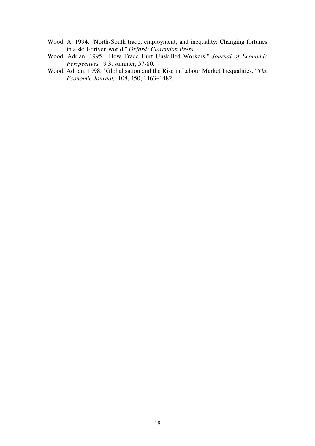- Wood, A. 1994. "North-South trade, employment, and inequality: Changing fortunes in a skill-driven world." *Oxford: Clarendon Press*.
- Wood, Adrian. 1995. "How Trade Hurt Unskilled Workers." *Journal of Economic Perspectives,* 9 3, summer, 57-80.
- Wood, Adrian. 1998. "Globalisation and the Rise in Labour Market Inequalities." *The Economic Journal,* 108, 450, 1463–1482.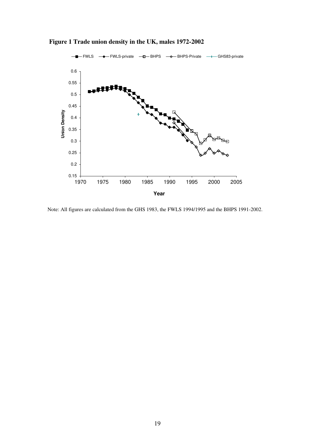

 **Figure 1 Trade union density in the UK, males 1972-2002** 

 $\overline{a}$ Note: All figures are calculated from the GHS 1983, the FWLS 1994/1995 and the BHPS 1991-2002.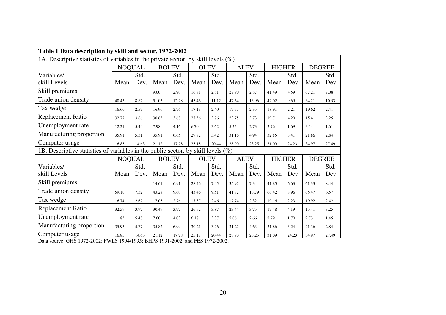| radic 1 Data acscription by sixm and sector, 1974 4004<br>1A. Descriptive statistics of variables in the private sector, by skill levels $(\%)$ |                               |       |                            |       |             |               |             |               |               |       |               |       |
|-------------------------------------------------------------------------------------------------------------------------------------------------|-------------------------------|-------|----------------------------|-------|-------------|---------------|-------------|---------------|---------------|-------|---------------|-------|
|                                                                                                                                                 | <b>NOQUAL</b>                 |       | <b>BOLEV</b>               |       | <b>OLEV</b> |               | <b>ALEV</b> |               | <b>HIGHER</b> |       | <b>DEGREE</b> |       |
| Variables/                                                                                                                                      |                               | Std.  |                            | Std.  |             | Std.          |             | Std.          |               | Std.  |               | Std.  |
| skill Levels                                                                                                                                    | Mean                          | Dev.  | Mean                       | Dev.  | Mean        | Dev.          | Mean        | Dev.          | Mean          | Dev.  | Mean          | Dev.  |
| Skill premiums                                                                                                                                  |                               |       | 9.00                       | 2.90  | 16.81       | 2.81          | 27.90       | 2.87          | 41.49         | 4.59  | 67.21         | 7.08  |
| Trade union density                                                                                                                             | 40.43                         | 8.87  | 51.03                      | 12.28 | 45.46       | 11.12         | 47.64       | 13.96         | 42.02         | 9.69  | 34.21         | 10.53 |
| Tax wedge                                                                                                                                       | 16.60                         | 2.59  | 16.96                      | 2.76  | 17.13       | 2.40          | 17.57       | 2.35          | 18.91         | 2.21  | 19.62         | 2.41  |
| <b>Replacement Ratio</b>                                                                                                                        | 32.77                         | 3.66  | 30.65                      | 3.68  | 27.56       | 3.76          | 23.75       | 3.73          | 19.71         | 4.20  | 15.41         | 3.25  |
| Unemployment rate                                                                                                                               | 12.21                         | 5.44  | 7.98                       | 4.16  | 6.70        | 3.62          | 5.25        | 2.73          | 2.76          | 1.69  | 3.14          | 1.61  |
| Manufacturing proportion                                                                                                                        | 35.91                         | 5.51  | 35.91                      | 6.65  | 29.82       | 3.42          | 31.16       | 4.94          | 32.85         | 3.41  | 21.86         | 2.84  |
| Computer usage                                                                                                                                  | 16.85<br>14.63                |       | 21.12                      | 17.78 | 25.18       | 20.44         | 28.90       | 23.25         | 31.09         | 24.23 | 34.97         | 27.49 |
| 1B. Descriptive statistics of variables in the public sector, by skill levels $(\%)$                                                            |                               |       |                            |       |             |               |             |               |               |       |               |       |
|                                                                                                                                                 | <b>NOQUAL</b><br><b>BOLEV</b> |       | <b>OLEV</b><br><b>ALEV</b> |       |             | <b>HIGHER</b> |             | <b>DEGREE</b> |               |       |               |       |
| Variables/                                                                                                                                      |                               | Std.  |                            | Std.  |             | Std.          |             | Std.          |               | Std.  |               | Std.  |
| skill Levels                                                                                                                                    | Mean                          | Dev.  | Mean                       | Dev.  | Mean        | Dev.          | Mean        | Dev.          | Mean          | Dev.  | Mean          | Dev.  |
| Skill premiums                                                                                                                                  |                               |       | 14.61                      | 6.91  | 28.46       | 7.45          | 35.97       | 7.34          | 41.85         | 6.63  | 61.33         | 8.44  |
| Trade union density                                                                                                                             | 59.10                         | 7.52  | 43.28                      | 9.60  | 43.46       | 9.51          | 41.82       | 13.79         | 66.42         | 8.96  | 65.47         | 6.57  |
| Tax wedge                                                                                                                                       | 16.74                         | 2.67  | 17.05                      | 2.76  | 17.37       | 2.46          | 17.74       | 2.32          | 19.16         | 2.23  | 19.92         | 2.42  |
| <b>Replacement Ratio</b>                                                                                                                        | 32.59                         | 3.97  | 30.49                      | 3.97  | 26.92       | 3.87          | 23.44       | 3.75          | 19.48         | 4.19  | 15.41         | 3.25  |
| Unemployment rate                                                                                                                               | 11.85                         | 5.48  | 7.60                       | 4.03  | 6.18        | 3.37          | 5.06        | 2.66          | 2.79          | 1.70  | 2.73          | 1.45  |
| Manufacturing proportion                                                                                                                        | 35.93                         | 5.77  | 35.82                      | 6.99  | 30.21       | 3.26          | 31.27       | 4.63          | 31.86         | 3.24  | 21.36         | 2.84  |
| Computer usage<br>0.72.202.7                                                                                                                    | 16.85                         | 14.63 | 21.12                      | 17.78 | 25.18       | 20.44         | 28.90       | 23.25         | 31.09         | 24.23 | 34.97         | 27.49 |

#### **Table 1 Data description by skill and sector, 1972-2002**

Data source: GHS 1972-2002; FWLS 1994/1995; BHPS 1991-2002; and FES 1972-2002.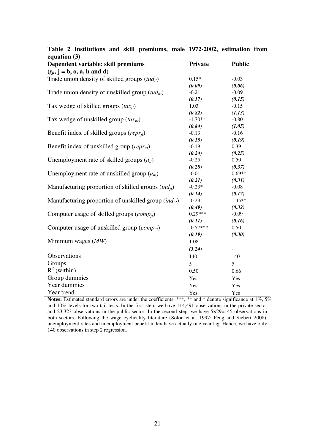| $\mathcal{L}$ quation $\mathcal{O}_f$<br>Dependent variable: skill premiums | Private    | <b>Public</b> |
|-----------------------------------------------------------------------------|------------|---------------|
| $(s_{it}, j = b, o, a, h$ and d)                                            |            |               |
| Trade union density of skilled groups $(tud_{it})$                          | $0.15*$    | $-0.03$       |
|                                                                             | (0.09)     | (0.06)        |
| Trade union density of unskilled group $(tud_{nt})$                         | $-0.21$    | $-0.09$       |
|                                                                             | (0.17)     | (0.15)        |
| Tax wedge of skilled groups $(tax_{it})$                                    | 1.03       | $-0.15$       |
|                                                                             | (0.82)     | (1.13)        |
| Tax wedge of unskilled group $(tax_{nt})$                                   | $-1.70**$  | $-0.80$       |
|                                                                             | (0.84)     | (1.05)        |
| Benefit index of skilled groups ( $repr_{it}$ )                             | $-0.13$    | $-0.16$       |
|                                                                             | (0.15)     | (0.19)        |
| Benefit index of unskilled group ( $repr_{nt}$ )                            | $-0.19$    | 0.39          |
|                                                                             | (0.24)     | (0.25)        |
| Unemployment rate of skilled groups $(u_{it})$                              | $-0.25$    | 0.50          |
|                                                                             | (0.28)     | (0.37)        |
| Unemployment rate of unskilled group $(u_{nt})$                             | $-0.01$    | $0.69**$      |
|                                                                             | (0.21)     | (0.31)        |
| Manufacturing proportion of skilled groups $(ind_{it})$                     | $-0.23*$   | $-0.08$       |
|                                                                             | (0.14)     | (0.17)        |
| Manufacturing proportion of unskilled group $(indnt)$                       | $-0.23$    | $1.45**$      |
|                                                                             | (0.49)     | (0.32)        |
| Computer usage of skilled groups $(comp_{it})$                              | $0.29***$  | $-0.09$       |
|                                                                             | (0.11)     | (0.16)        |
| Computer usage of unskilled group $(comp_{nt})$                             | $-0.57***$ | 0.50          |
|                                                                             | (0.19)     | (0.30)        |
| Minimum wages $(MW)$                                                        | 1.08       |               |
|                                                                             | (3.24)     |               |
| Observations                                                                | 140        | 140           |
| Groups                                                                      | 5          | 5             |
| $R^2$ (within)                                                              | 0.50       | 0.66          |
| Group dummies                                                               | Yes        | Yes           |
| Year dummies                                                                | Yes        | Yes           |
| Year trend                                                                  | Yes        | Yes           |

|                | Table 2 Institutions and skill premiums, male 1972-2002, estimation from |  |  |  |  |
|----------------|--------------------------------------------------------------------------|--|--|--|--|
| equation $(3)$ |                                                                          |  |  |  |  |

**Notes:** Estimated standard errors are under the coefficients. \*\*\*, \*\* and \* denote significance at 1%, 5% and 10% levels for two-tail tests. In the first step, we have 114,491 observations in the private sector and 23,323 observations in the public sector. In the second step, we have 5×29=145 observations in both sectors. Following the wage cyclicality literature (Solon et al. 1997; Peng and Siebert 2008), unemployment rates and unemployment benefit index have actually one year lag. Hence, we have only 140 observations in step 2 regression.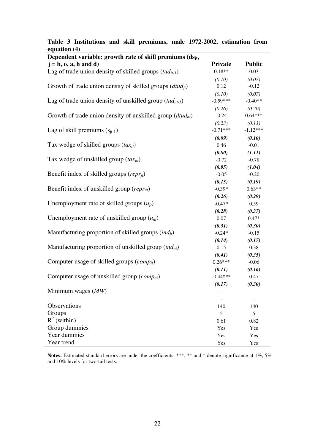| Dependent variable: growth rate of skill premiums $(ds_{it},$  |            |               |  |  |  |  |  |
|----------------------------------------------------------------|------------|---------------|--|--|--|--|--|
| $= b, 0, a, h$ and d)                                          | Private    | <b>Public</b> |  |  |  |  |  |
| Lag of trade union density of skilled groups $(tud_{it-1})$    | $0.18**$   | 0.03          |  |  |  |  |  |
|                                                                | (0.10)     | (0.07)        |  |  |  |  |  |
| Growth of trade union density of skilled groups $(dtud_{it})$  | 0.12       | $-0.12$       |  |  |  |  |  |
|                                                                | (0.10)     | (0.07)        |  |  |  |  |  |
| Lag of trade union density of unskilled group $(tud_{nt-1})$   | $-0.59***$ | $-0.40**$     |  |  |  |  |  |
|                                                                | (0.26)     | (0.20)        |  |  |  |  |  |
| Growth of trade union density of unskilled group $(dtud_{nt})$ | $-0.24$    | $0.64***$     |  |  |  |  |  |
|                                                                | (0.23)     | (0.13)        |  |  |  |  |  |
| Lag of skill premiums $(s_{it-1})$                             | $-0.71***$ | $-1.12***$    |  |  |  |  |  |
|                                                                | (0.09)     | (0.10)        |  |  |  |  |  |
| Tax wedge of skilled groups $(tax_{it})$                       | 0.46       | $-0.01$       |  |  |  |  |  |
|                                                                | (0.80)     | (1.11)        |  |  |  |  |  |
| Tax wedge of unskilled group $(tax_{nt})$                      | $-0.72$    | $-0.78$       |  |  |  |  |  |
|                                                                | (0.95)     | (1.04)        |  |  |  |  |  |
| Benefit index of skilled groups ( $repr_{it}$ )                | $-0.05$    | $-0.20$       |  |  |  |  |  |
|                                                                | (0.15)     | (0.19)        |  |  |  |  |  |
| Benefit index of unskilled group ( $repr_{nt}$ )               | $-0.39*$   | $0.63**$      |  |  |  |  |  |
|                                                                | (0.26)     | (0.29)        |  |  |  |  |  |
| Unemployment rate of skilled groups $(u_{it})$                 | $-0.47*$   | 0.59          |  |  |  |  |  |
|                                                                | (0.28)     | (0.37)        |  |  |  |  |  |
| Unemployment rate of unskilled group $(u_{nt})$                | 0.07       | $0.47*$       |  |  |  |  |  |
|                                                                | (0.31)     | (0.30)        |  |  |  |  |  |
| Manufacturing proportion of skilled groups $(ind_{it})$        | $-0.24*$   | $-0.15$       |  |  |  |  |  |
|                                                                | (0.14)     | (0.17)        |  |  |  |  |  |
| Manufacturing proportion of unskilled group $(indnt)$          | 0.15       | 0.38          |  |  |  |  |  |
|                                                                | (0.41)     | (0.35)        |  |  |  |  |  |
| Computer usage of skilled groups $(comp_{it})$                 | $0.26***$  | $-0.06$       |  |  |  |  |  |
|                                                                | (0.11)     | (0.16)        |  |  |  |  |  |
| Computer usage of unskilled group $(comp_{nt})$                | $-0.44***$ | 0.47          |  |  |  |  |  |
|                                                                | (0.17)     | (0.30)        |  |  |  |  |  |
| Minimum wages $(MW)$                                           |            |               |  |  |  |  |  |
|                                                                |            |               |  |  |  |  |  |
| Observations                                                   | 140        | 140           |  |  |  |  |  |
| Groups                                                         | 5          | 5             |  |  |  |  |  |
| $R^2$ (within)                                                 | 0.61       | 0.82          |  |  |  |  |  |
| Group dummies                                                  | Yes        | Yes           |  |  |  |  |  |
| Year dummies                                                   | Yes        | Yes           |  |  |  |  |  |
| Year trend                                                     | Yes        | Yes           |  |  |  |  |  |

**Table 3 Institutions and skill premiums, male 1972-2002, estimation from equation (4)**

Notes: Estimated standard errors are under the coefficients. \*\*\*, \*\* and \* denote significance at 1%, 5% and 10% levels for two-tail tests.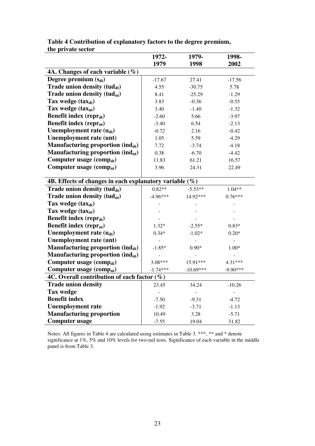|                                                            | 1972-                    | 1979-          | 1998-          |  |  |  |
|------------------------------------------------------------|--------------------------|----------------|----------------|--|--|--|
|                                                            | 1979                     | 1998           | 2002           |  |  |  |
| 4A. Changes of each variable $(\%)$                        |                          |                |                |  |  |  |
| Degree premium $(s_{dt})$                                  | $-17.67$                 | 27.41          | $-17.56$       |  |  |  |
| Trade union density $(t u d_{dt})$                         | 4.55                     | $-30.75$       | 5.78           |  |  |  |
| Trade union density (tudnt)                                | 8.41                     | $-25.29$       | $-1.29$        |  |  |  |
| Tax wedge $(tax_{dt})$                                     | 3.83                     | $-0.36$        | $-0.55$        |  |  |  |
| Tax wedge $(tax_{nt})$                                     | 3.40                     | $-1.40$        | $-1.32$        |  |  |  |
| <b>Benefit index (reprdt)</b>                              | $-2.60$                  | 5.66           | $-3.97$        |  |  |  |
| Benefit index ( $repr_{nt}$ )                              | $-3.40$                  | 6.54           | $-2.13$        |  |  |  |
| Unemployment rate $(u_{dt})$                               | $-0.72$                  | 2.16           | $-0.42$        |  |  |  |
| Unemployment rate (unt)                                    | 1.05                     | 5.59           | $-4.29$        |  |  |  |
| Manufacturing proportion (ind <sub>dt</sub> )              | 7.72                     | $-3.74$        | $-4.18$        |  |  |  |
| Manufacturing proportion $(\text{ind}_{nt})$               | 0.38                     | $-6.70$        | $-4.42$        |  |  |  |
| Computer usage (comp <sub>dt</sub> )                       | 11.83                    | 61.21          | 16.57          |  |  |  |
| Computer usage $\rm(comp_{nt})$                            | 3.96                     | 24.31          | 22.49          |  |  |  |
|                                                            |                          |                |                |  |  |  |
| 4B. Effects of changes in each explanatory variable $(\%)$ |                          |                |                |  |  |  |
| Trade union density $(tud_{dt})$                           | $0.82**$                 | $-5.53**$      | $1.04**$       |  |  |  |
| Trade union density $(tud_{nt})$                           | $-4.96***$               | 14.92***       | $0.76***$      |  |  |  |
| Tax wedge $(tax_{dt})$                                     |                          |                |                |  |  |  |
| Tax wedge $(tax_{nt})$                                     |                          |                |                |  |  |  |
| <b>Benefit index (reprdt)</b>                              |                          |                |                |  |  |  |
| <b>Benefit index (repr<sub>nt</sub>)</b>                   | $1.32*$                  | $-2.55*$       | $0.83*$        |  |  |  |
| Unemployment rate $(u_{dt})$                               | $0.34*$                  | $-1.02*$       | $0.20*$        |  |  |  |
| Unemployment rate (unt)                                    |                          |                |                |  |  |  |
| Manufacturing proportion $(\text{ind}_{dt})$               | $-1.85*$                 | $0.90*$        | $1.00*$        |  |  |  |
| Manufacturing proportion $(\text{ind}_{nt})$               |                          |                |                |  |  |  |
| Computer usage $\left( comp_{dt}\right)$                   | 3.08***                  | 15.91***       | $4.31***$      |  |  |  |
| Computer usage (comp <sub>nt</sub> )                       | $-1.74***$               | $-10.69***$    | $-9.90***$     |  |  |  |
| 4C. Overall contribution of each factor $(\%)$             |                          |                |                |  |  |  |
| <b>Trade union density</b>                                 | 23.45                    | 34.24          | $-10.26$       |  |  |  |
| <b>Tax wedge</b>                                           | $\overline{\phantom{a}}$ | $\overline{a}$ | $\overline{a}$ |  |  |  |
| <b>Benefit index</b>                                       | $-7.50$                  | $-9.31$        | $-4.72$        |  |  |  |
| <b>Unemployment rate</b>                                   | $-1.92$                  | $-3.71$        | $-1.13$        |  |  |  |
| <b>Manufacturing proportion</b>                            | 10.49                    | 3.28           | $-5.71$        |  |  |  |
| <b>Computer usage</b>                                      | $-7.55$                  | 19.04          | 31.82          |  |  |  |

**Table 4 Contribution of explanatory factors to the degree premium, the private sector** 

Notes: All figures in Table 4 are calculated using estimates in Table 3. \*\*\*, \*\* and \* denote significance at 1%, 5% and 10% levels for two-tail tests. Significance of each variable in the middle panel is from Table 3.